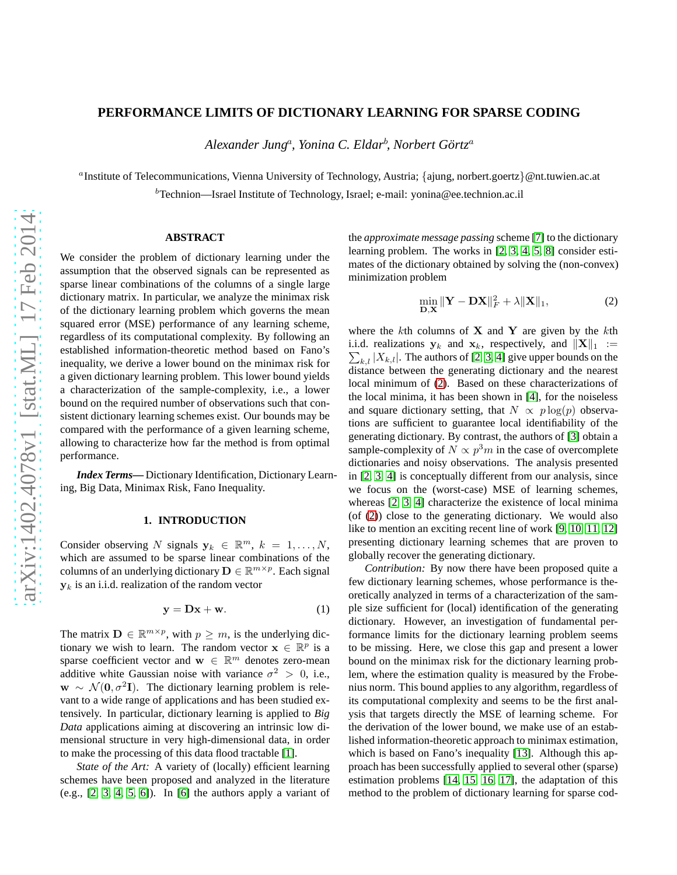# **PERFORMANCE LIMITS OF DICTIONARY LEARNING FOR SPARSE CODING**

*Alexander Jung*<sup>a</sup> *, Yonina C. Eldar*<sup>b</sup> *, Norbert Gortz ¨* a

a Institute of Telecommunications, Vienna University of Technology, Austria; {ajung, norbert.goertz}@nt.tuwien.ac.at

 $b$ Technion—Israel Institute of Technology, Israel; e-mail: yonina@ee.technion.ac.il

# **ABSTRACT**

We consider the problem of dictionary learning under the assumption that the observed signals can be represented as sparse linear combinations of the columns of a single large dictionary matrix. In particular, we analyze the minimax risk of the dictionary learning problem which governs the mean squared error (MSE) performance of any learning scheme, regardless of its computational complexity. By following an established information-theoretic method based on Fano's inequality, we derive a lower bound on the minimax risk for a given dictionary learning problem. This lower bound yields a characterization of the sample-complexity, i.e., a lower bound on the required number of observations such that consistent dictionary learning schemes exist. Our bounds may be compared with the performance of a given learning scheme, allowing to characterize how far the method is from optimal performance.

*Index Terms***—** Dictionary Identification, Dictionary Learning, Big Data, Minimax Risk, Fano Inequality.

### **1. INTRODUCTION**

Consider observing N signals  $y_k \in \mathbb{R}^m$ ,  $k = 1, ..., N$ , which are assumed to be sparse linear combinations of the columns of an underlying dictionary  $\mathbf{D} \in \mathbb{R}^{m \times p}$ . Each signal  $y_k$  is an i.i.d. realization of the random vector

<span id="page-0-1"></span>
$$
y = Dx + w.
$$
 (1)

The matrix  $\mathbf{D} \in \mathbb{R}^{m \times p}$ , with  $p \geq m$ , is the underlying dictionary we wish to learn. The random vector  $\mathbf{x} \in \mathbb{R}^p$  is a sparse coefficient vector and  $\mathbf{w} \in \mathbb{R}^m$  denotes zero-mean additive white Gaussian noise with variance  $\sigma^2 > 0$ , i.e.,  $w \sim \mathcal{N}(0, \sigma^2 I)$ . The dictionary learning problem is relevant to a wide range of applications and has been studied extensively. In particular, dictionary learning is applied to *Big Data* applications aiming at discovering an intrinsic low dimensional structure in very high-dimensional data, in order to make the processing of this data flood tractable [\[1\]](#page-4-0).

*State of the Art:* A variety of (locally) efficient learning schemes have been proposed and analyzed in the literature (e.g.,  $[2, 3, 4, 5, 6]$  $[2, 3, 4, 5, 6]$  $[2, 3, 4, 5, 6]$  $[2, 3, 4, 5, 6]$  $[2, 3, 4, 5, 6]$ ). In  $[6]$  the authors apply a variant of the *approximate message passing* scheme [\[7\]](#page-4-6) to the dictionary learning problem. The works in [\[2,](#page-4-1) [3,](#page-4-2) [4,](#page-4-3) [5,](#page-4-4) [8\]](#page-4-7) consider estimates of the dictionary obtained by solving the (non-convex) minimization problem

<span id="page-0-0"></span>
$$
\min_{\mathbf{D}, \mathbf{X}} \|\mathbf{Y} - \mathbf{D}\mathbf{X}\|_F^2 + \lambda \|\mathbf{X}\|_1,\tag{2}
$$

where the kth columns of  $X$  and  $Y$  are given by the kth i.i.d. realizations  $y_k$  and  $x_k$ , respectively, and  $||\mathbf{X}||_1 :=$  $\sum_{k,l} |X_{k,l}|$ . The authors of [\[2,](#page-4-1) [3,](#page-4-2) [4\]](#page-4-3) give upper bounds on the distance between the generating dictionary and the nearest local minimum of [\(2\)](#page-0-0). Based on these characterizations of the local minima, it has been shown in [\[4\]](#page-4-3), for the noiseless and square dictionary setting, that  $N \propto p \log(p)$  observations are sufficient to guarantee local identifiability of the generating dictionary. By contrast, the authors of [\[3\]](#page-4-2) obtain a sample-complexity of  $N \propto p^3 m$  in the case of overcomplete dictionaries and noisy observations. The analysis presented in [\[2,](#page-4-1) [3,](#page-4-2) [4\]](#page-4-3) is conceptually different from our analysis, since we focus on the (worst-case) MSE of learning schemes, whereas [\[2,](#page-4-1) [3,](#page-4-2) [4\]](#page-4-3) characterize the existence of local minima (of [\(2\)](#page-0-0)) close to the generating dictionary. We would also like to mention an exciting recent line of work [\[9,](#page-4-8) [10,](#page-4-9) [11,](#page-4-10) [12\]](#page-4-11) presenting dictionary learning schemes that are proven to globally recover the generating dictionary.

*Contribution:* By now there have been proposed quite a few dictionary learning schemes, whose performance is theoretically analyzed in terms of a characterization of the sample size sufficient for (local) identification of the generating dictionary. However, an investigation of fundamental performance limits for the dictionary learning problem seems to be missing. Here, we close this gap and present a lower bound on the minimax risk for the dictionary learning problem, where the estimation quality is measured by the Frobenius norm. This bound applies to any algorithm, regardless of its computational complexity and seems to be the first analysis that targets directly the MSE of learning scheme. For the derivation of the lower bound, we make use of an established information-theoretic approach to minimax estimation, which is based on Fano's inequality [\[13\]](#page-4-12). Although this approach has been successfully applied to several other (sparse) estimation problems [\[14,](#page-4-13) [15,](#page-4-14) [16,](#page-4-15) [17\]](#page-4-16), the adaptation of this method to the problem of dictionary learning for sparse cod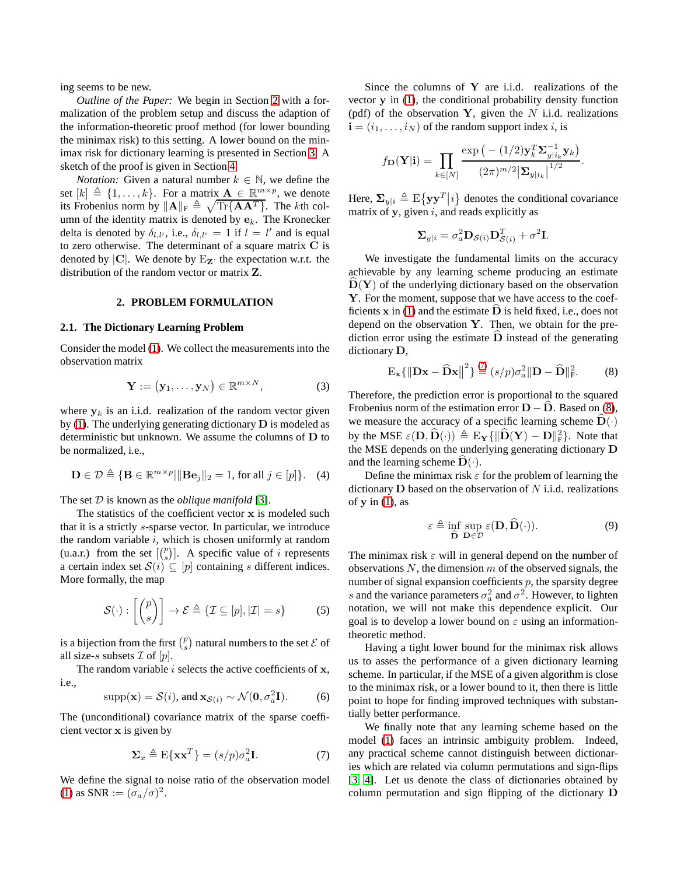ing seems to be new.

*Outline of the Paper:* We begin in Section [2](#page-1-0) with a formalization of the problem setup and discuss the adaption of the information-theoretic proof method (for lower bounding the minimax risk) to this setting. A lower bound on the minimax risk for dictionary learning is presented in Section [3.](#page-2-0) A sketch of the proof is given in Section [4.](#page-2-1)

*Notation:* Given a natural number  $k \in \mathbb{N}$ , we define the set  $[k] \triangleq \{1, \ldots, k\}$ . For a matrix  $\mathbf{A} \in \mathbb{R}^{m \times p}$ , we denote its Frobenius norm by  $||A||_F \triangleq \sqrt{\text{Tr}\{AA^T\}}$ . The kth column of the identity matrix is denoted by  $e_k$ . The Kronecker delta is denoted by  $\delta_{l,l'}$ , i.e.,  $\delta_{l,l'} = 1$  if  $l = l'$  and is equal to zero otherwise. The determinant of a square matrix C is denoted by  $|C|$ . We denote by  $E_{Z}$  the expectation w.r.t. the distribution of the random vector or matrix Z.

### **2. PROBLEM FORMULATION**

#### <span id="page-1-0"></span>**2.1. The Dictionary Learning Problem**

Consider the model [\(1\)](#page-0-1). We collect the measurements into the observation matrix

$$
\mathbf{Y} := (\mathbf{y}_1, \dots, \mathbf{y}_N) \in \mathbb{R}^{m \times N}, \tag{3}
$$

where  $y_k$  is an i.i.d. realization of the random vector given by [\(1\)](#page-0-1). The underlying generating dictionary  $D$  is modeled as deterministic but unknown. We assume the columns of D to be normalized, i.e.,

<span id="page-1-5"></span>
$$
\mathbf{D} \in \mathcal{D} \triangleq \{ \mathbf{B} \in \mathbb{R}^{m \times p} | \| \mathbf{B} \mathbf{e}_j \|_2 = 1, \text{ for all } j \in [p] \}. \tag{4}
$$

The set D is known as the *oblique manifold* [\[3\]](#page-4-2).

The statistics of the coefficient vector  $x$  is modeled such that it is a strictly s-sparse vector. In particular, we introduce the random variable  $i$ , which is chosen uniformly at random (u.a.r.) from the set  $\lfloor \binom{p}{s} \rfloor$ . A specific value of i represents a certain index set  $S(i) \subseteq [p]$  containing s different indices. More formally, the map

$$
\mathcal{S}(\cdot): \left[ \binom{p}{s} \right] \to \mathcal{E} \triangleq \{ \mathcal{I} \subseteq [p], |\mathcal{I}| = s \} \tag{5}
$$

is a bijection from the first  $\binom{p}{s}$  natural numbers to the set  $\mathcal E$  of all size-s subsets  $\mathcal I$  of  $[p]$ .

The random variable  $i$  selects the active coefficients of  $x$ , i.e.,

<span id="page-1-4"></span>
$$
supp(\mathbf{x}) = \mathcal{S}(i), \text{ and } \mathbf{x}_{\mathcal{S}(i)} \sim \mathcal{N}(\mathbf{0}, \sigma_a^2 \mathbf{I}).
$$
 (6)

The (unconditional) covariance matrix of the sparse coefficient vector x is given by

<span id="page-1-1"></span>
$$
\Sigma_x \triangleq \mathrm{E}\{\mathbf{x}\mathbf{x}^T\} = (s/p)\sigma_a^2 \mathbf{I}.\tag{7}
$$

We define the signal to noise ratio of the observation model [\(1\)](#page-0-1) as SNR :=  $(\sigma_a/\sigma)^2$ .

Since the columns of  $Y$  are i.i.d. realizations of the vector y in [\(1\)](#page-0-1), the conditional probability density function (pdf) of the observation Y, given the  $N$  i.i.d. realizations  $\mathbf{i} = (i_1, \dots, i_N)$  of the random support index i, is

$$
f_{\mathbf{D}}(\mathbf{Y}|\mathbf{i}) = \prod_{k \in [N]} \frac{\exp\left(-\left(1/2\right) \mathbf{y}_{k}^{T} \mathbf{\Sigma}_{y|i_{k}}^{-1} \mathbf{y}_{k}\right)}{\left(2\pi\right)^{m/2} \left|\mathbf{\Sigma}_{y|i_{k}}\right|^{1/2}}.
$$

Here,  $\Sigma_{y|i} \triangleq \mathrm{E}\{\mathbf{y}\mathbf{y}^T|i\}$  denotes the conditional covariance matrix of  $y$ , given  $i$ , and reads explicitly as

$$
\mathbf{\Sigma}_{y|i} = \sigma_a^2 \mathbf{D}_{\mathcal{S}(i)} \mathbf{D}_{\mathcal{S}(i)}^T + \sigma^2 \mathbf{I}.
$$

We investigate the fundamental limits on the accuracy achievable by any learning scheme producing an estimate  $\dot{\mathbf{D}}(\mathbf{Y})$  of the underlying dictionary based on the observation Y. For the moment, suppose that we have access to the coefficients  $x$  in [\(1\)](#page-0-1) and the estimate  $\overline{D}$  is held fixed, i.e., does not depend on the observation  $Y$ . Then, we obtain for the prediction error using the estimate  $D$  instead of the generating dictionary D,

<span id="page-1-2"></span>
$$
\mathbf{E}_{\mathbf{x}}\{\|\mathbf{D}\mathbf{x} - \widehat{\mathbf{D}}\mathbf{x}\|^2\} \stackrel{(7)}{=} (s/p)\sigma_a^2 \|\mathbf{D} - \widehat{\mathbf{D}}\|_{\mathbf{F}}^2. \tag{8}
$$

Therefore, the prediction error is proportional to the squared Frobenius norm of the estimation error  $D - D$ . Based on [\(8\)](#page-1-2), we measure the accuracy of a specific learning scheme  $\mathbf{D}(\cdot)$ by the MSE  $\varepsilon(D, \widehat{D}(\cdot)) \triangleq E_{\mathbf{Y}}\{\|\widehat{D}(\mathbf{Y}) - \mathbf{D}\|_{\mathrm{F}}^2\}$ . Note that the MSE depends on the underlying generating dictionary D and the learning scheme  $\mathbf{D}(\cdot)$ .

Define the minimax risk  $\varepsilon$  for the problem of learning the dictionary  **based on the observation of**  $N$  **i.i.d. realizations** of  $y$  in  $(1)$ , as

<span id="page-1-3"></span>
$$
\varepsilon \triangleq \inf_{\widehat{\mathbf{D}}} \sup_{\mathbf{D} \in \mathcal{D}} \varepsilon(\mathbf{D}, \widehat{\mathbf{D}}(\cdot)). \tag{9}
$$

The minimax risk  $\varepsilon$  will in general depend on the number of observations  $N$ , the dimension  $m$  of the observed signals, the number of signal expansion coefficients  $p$ , the sparsity degree s and the variance parameters  $\sigma_a^2$  and  $\sigma^2$ . However, to lighten notation, we will not make this dependence explicit. Our goal is to develop a lower bound on  $\varepsilon$  using an informationtheoretic method.

Having a tight lower bound for the minimax risk allows us to asses the performance of a given dictionary learning scheme. In particular, if the MSE of a given algorithm is close to the minimax risk, or a lower bound to it, then there is little point to hope for finding improved techniques with substantially better performance.

We finally note that any learning scheme based on the model [\(1\)](#page-0-1) faces an intrinsic ambiguity problem. Indeed, any practical scheme cannot distinguish between dictionaries which are related via column permutations and sign-flips [\[3,](#page-4-2) [4\]](#page-4-3). Let us denote the class of dictionaries obtained by column permutation and sign flipping of the dictionary D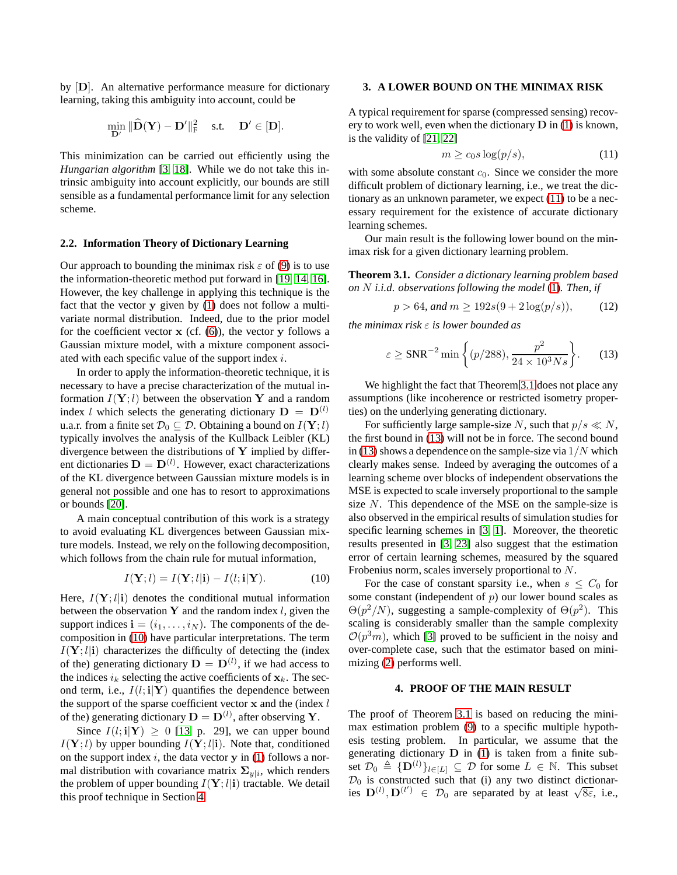by [D]. An alternative performance measure for dictionary learning, taking this ambiguity into account, could be

$$
\min_{\mathbf{D}'} \|\widehat{\mathbf{D}}(\mathbf{Y})-\mathbf{D}'\|_{\mathrm{F}}^2 \quad \text{ s.t. } \quad \mathbf{D}' \in [\mathbf{D}].
$$

This minimization can be carried out efficiently using the *Hungarian algorithm* [\[3,](#page-4-2) [18\]](#page-4-17). While we do not take this intrinsic ambiguity into account explicitly, our bounds are still sensible as a fundamental performance limit for any selection scheme.

### **2.2. Information Theory of Dictionary Learning**

Our approach to bounding the minimax risk  $\varepsilon$  of [\(9\)](#page-1-3) is to use the information-theoretic method put forward in [\[19,](#page-4-18) [14,](#page-4-13) [16\]](#page-4-15). However, the key challenge in applying this technique is the fact that the vector y given by [\(1\)](#page-0-1) does not follow a multivariate normal distribution. Indeed, due to the prior model for the coefficient vector  $x$  (cf.  $(6)$ ), the vector y follows a Gaussian mixture model, with a mixture component associated with each specific value of the support index  $i$ .

In order to apply the information-theoretic technique, it is necessary to have a precise characterization of the mutual information  $I(Y; l)$  between the observation Y and a random index l which selects the generating dictionary  $\mathbf{D} = \mathbf{D}^{(l)}$ u.a.r. from a finite set  $\mathcal{D}_0 \subseteq \mathcal{D}$ . Obtaining a bound on  $I(\mathbf{Y}; l)$ typically involves the analysis of the Kullback Leibler (KL) divergence between the distributions of  $Y$  implied by different dictionaries  $D = D^{(l)}$ . However, exact characterizations of the KL divergence between Gaussian mixture models is in general not possible and one has to resort to approximations or bounds [\[20\]](#page-4-19).

A main conceptual contribution of this work is a strategy to avoid evaluating KL divergences between Gaussian mixture models. Instead, we rely on the following decomposition, which follows from the chain rule for mutual information,

<span id="page-2-2"></span>
$$
I(\mathbf{Y}; l) = I(\mathbf{Y}; l | \mathbf{i}) - I(l; \mathbf{i} | \mathbf{Y}). \tag{10}
$$

Here,  $I(Y; l|i)$  denotes the conditional mutual information between the observation Y and the random index  $l$ , given the support indices  $\mathbf{i} = (i_1, \dots, i_N)$ . The components of the decomposition in [\(10\)](#page-2-2) have particular interpretations. The term  $I(Y; l|i)$  characterizes the difficulty of detecting the (index of the) generating dictionary  $\mathbf{D} = \mathbf{D}^{(l)}$ , if we had access to the indices  $i_k$  selecting the active coefficients of  $x_k$ . The second term, i.e.,  $I(l; \mathbf{i}|\mathbf{Y})$  quantifies the dependence between the support of the sparse coefficient vector  $x$  and the (index  $l$ of the) generating dictionary  $\mathbf{D} = \mathbf{D}^{(l)}$ , after observing Y.

Since  $I(l; \mathbf{i}|\mathbf{Y}) \geq 0$  [\[13,](#page-4-12) p. 29], we can upper bound  $I(Y; l)$  by upper bounding  $I(Y; l|i)$ . Note that, conditioned on the support index  $i$ , the data vector  $y$  in [\(1\)](#page-0-1) follows a normal distribution with covariance matrix  $\Sigma_{y|i}$ , which renders the problem of upper bounding  $I(Y; l|i)$  tractable. We detail this proof technique in Section [4.](#page-2-1)

### <span id="page-2-0"></span>**3. A LOWER BOUND ON THE MINIMAX RISK**

A typical requirement for sparse (compressed sensing) recovery to work well, even when the dictionary  $D$  in [\(1\)](#page-0-1) is known, is the validity of [\[21,](#page-4-20) [22\]](#page-4-21)

<span id="page-2-3"></span>
$$
m \ge c_0 s \log(p/s),\tag{11}
$$

with some absolute constant  $c_0$ . Since we consider the more difficult problem of dictionary learning, i.e., we treat the dictionary as an unknown parameter, we expect [\(11\)](#page-2-3) to be a necessary requirement for the existence of accurate dictionary learning schemes.

Our main result is the following lower bound on the minimax risk for a given dictionary learning problem.

<span id="page-2-4"></span>**Theorem 3.1.** *Consider a dictionary learning problem based on* N *i.i.d. observations following the model* [\(1\)](#page-0-1)*. Then, if*

<span id="page-2-6"></span>
$$
p > 64, \text{ and } m \ge 192s(9 + 2\log(p/s)), \tag{12}
$$

*the minimax risk* ε *is lower bounded as*

<span id="page-2-5"></span>
$$
\varepsilon \ge \text{SNR}^{-2} \min\left\{ (p/288), \frac{p^2}{24 \times 10^3 N s} \right\}. \tag{13}
$$

We highlight the fact that Theorem [3.1](#page-2-4) does not place any assumptions (like incoherence or restricted isometry properties) on the underlying generating dictionary.

For sufficiently large sample-size N, such that  $p/s \ll N$ , the first bound in [\(13\)](#page-2-5) will not be in force. The second bound in [\(13\)](#page-2-5) shows a dependence on the sample-size via  $1/N$  which clearly makes sense. Indeed by averaging the outcomes of a learning scheme over blocks of independent observations the MSE is expected to scale inversely proportional to the sample size N. This dependence of the MSE on the sample-size is also observed in the empirical results of simulation studies for specific learning schemes in [\[3,](#page-4-2) [1\]](#page-4-0). Moreover, the theoretic results presented in [\[3,](#page-4-2) [23\]](#page-4-22) also suggest that the estimation error of certain learning schemes, measured by the squared Frobenius norm, scales inversely proportional to N.

For the case of constant sparsity i.e., when  $s \leq C_0$  for some constant (independent of  $p$ ) our lower bound scales as  $\Theta(p^2/N)$ , suggesting a sample-complexity of  $\Theta(p^2)$ . This scaling is considerably smaller than the sample complexity  $\mathcal{O}(p^3m)$ , which [\[3\]](#page-4-2) proved to be sufficient in the noisy and over-complete case, such that the estimator based on minimizing [\(2\)](#page-0-0) performs well.

#### **4. PROOF OF THE MAIN RESULT**

<span id="page-2-1"></span>The proof of Theorem [3.1](#page-2-4) is based on reducing the minimax estimation problem [\(9\)](#page-1-3) to a specific multiple hypothesis testing problem. In particular, we assume that the generating dictionary  $D$  in [\(1\)](#page-0-1) is taken from a finite subset  $\mathcal{D}_0 \triangleq {\{\mathbf{D}^{(l)}\}}_{l \in [L]} \subseteq \mathcal{D}$  for some  $L \in \mathbb{N}$ . This subset  $\mathcal{D}_0$  is constructed such that (i) any two distinct dictionaries  $D^{(l)}, D^{(l')} \in \mathcal{D}_0$  are separated by at least  $\sqrt{8\varepsilon}$ , i.e.,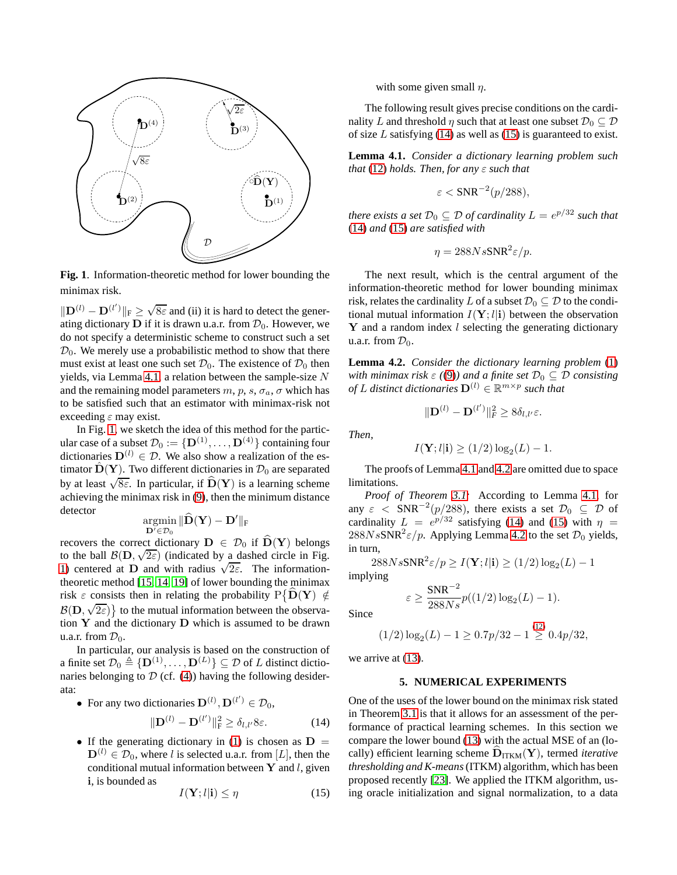

<span id="page-3-1"></span>**Fig. 1**. Information-theoretic method for lower bounding the minimax risk.

 $\|\mathbf{D}^{(l)} - \mathbf{D}^{(l')} \|_{\mathrm{F}} \geq \sqrt{8\varepsilon}$  and (ii) it is hard to detect the generating dictionary **D** if it is drawn u.a.r. from  $\mathcal{D}_0$ . However, we do not specify a deterministic scheme to construct such a set  $\mathcal{D}_0$ . We merely use a probabilistic method to show that there must exist at least one such set  $\mathcal{D}_0$ . The existence of  $\mathcal{D}_0$  then yields, via Lemma [4.1,](#page-3-0) a relation between the sample-size N and the remaining model parameters m, p, s,  $\sigma_a$ ,  $\sigma$  which has to be satisfied such that an estimator with minimax-risk not exceeding  $\varepsilon$  may exist.

In Fig. [1,](#page-3-1) we sketch the idea of this method for the particular case of a subset  $\mathcal{D}_0 := \{ \mathbf{D}^{(1)}, \ldots, \mathbf{D}^{(4)} \}$  containing four dictionaries  $\mathbf{D}^{(l)} \in \mathcal{D}$ . We also show a realization of the estimator  $\hat{\mathbf{D}}(\mathbf{Y})$ . Two different dictionaries in  $\mathcal{D}_0$  are separated by at least  $\sqrt{8\varepsilon}$ . In particular, if  $\widehat{\mathbf{D}}(\mathbf{Y})$  is a learning scheme achieving the minimax risk in [\(9\)](#page-1-3), then the minimum distance detector

$$
\operatornamewithlimits{argmin}_{\mathbf{D}'\in\mathcal{D}_0} \|\widehat{\mathbf{D}}(\mathbf{Y})-\mathbf{D}'\|_F
$$

recovers the correct dictionary  $D \in \mathcal{D}_0$  if  $\widehat{D}(Y)$  belongs to the ball  $\mathcal{B}(\mathbf{D}, \sqrt{2\varepsilon})$  (indicated by a dashed circle in Fig. [1\)](#page-3-1) centered at D and with radius  $\sqrt{2\varepsilon}$ . The informationtheoretic method [\[15,](#page-4-14) [14,](#page-4-13) [19\]](#page-4-18) of lower bounding the minimax risk  $\varepsilon$  consists then in relating the probability  $P\{\hat{\mathbf{D}}(\mathbf{Y}) \notin$  $\mathcal{B}(\mathbf{D},\sqrt{2\varepsilon})\}$  to the mutual information between the observation  $Y$  and the dictionary  $D$  which is assumed to be drawn u.a.r. from  $\mathcal{D}_0$ .

In particular, our analysis is based on the construction of a finite set  $\mathcal{D}_0 \triangleq {\mathbf{D}^{(1)}, \ldots, \mathbf{D}^{(L)}} \subseteq \mathcal{D}$  of L distinct dictionaries belonging to  $\mathcal D$  (cf. [\(4\)](#page-1-5)) having the following desiderata:

• For any two dictionaries 
$$
\mathbf{D}^{(l)}, \mathbf{D}^{(l')} \in \mathcal{D}_0
$$
,

<span id="page-3-2"></span>
$$
\|\mathbf{D}^{(l)} - \mathbf{D}^{(l')} \|_{\mathbf{F}}^2 \ge \delta_{l,l'} 8\varepsilon. \tag{14}
$$

• If the generating dictionary in [\(1\)](#page-0-1) is chosen as  $D =$  $\mathbf{D}^{(l)} \in \mathcal{D}_0$ , where l is selected u.a.r. from [L], then the conditional mutual information between  $Y$  and l, given i, is bounded as

$$
I(\mathbf{Y}; l | \mathbf{i}) \le \eta \tag{15}
$$

with some given small  $n$ .

The following result gives precise conditions on the cardinality L and threshold  $\eta$  such that at least one subset  $\mathcal{D}_0 \subseteq \mathcal{D}$ of size  $L$  satisfying [\(14\)](#page-3-2) as well as [\(15\)](#page-3-3) is guaranteed to exist.

<span id="page-3-0"></span>**Lemma 4.1.** *Consider a dictionary learning problem such that* [\(12\)](#page-2-6) *holds. Then, for any* ε *such that*

$$
\varepsilon < \text{SNR}^{-2}(p/288),
$$

*there exists a set*  $\mathcal{D}_0 \subseteq \mathcal{D}$  *of cardinality*  $L = e^{p/32}$  *such that* [\(14\)](#page-3-2) *and* [\(15\)](#page-3-3) *are satisfied with*

$$
\eta = 288Ns\text{SNR}^2\varepsilon/p.
$$

The next result, which is the central argument of the information-theoretic method for lower bounding minimax risk, relates the cardinality L of a subset  $\mathcal{D}_0 \subseteq \mathcal{D}$  to the conditional mutual information  $I(Y; l|i)$  between the observation  $Y$  and a random index  $l$  selecting the generating dictionary u.a.r. from  $\mathcal{D}_0$ .

<span id="page-3-4"></span>**Lemma 4.2.** *Consider the dictionary learning problem* [\(1\)](#page-0-1) *with minimax risk*  $\varepsilon$  ([\(9\)](#page-1-3)) and a finite set  $\mathcal{D}_0 \subseteq \mathcal{D}$  consisting *of* L distinct dictionaries  $\mathbf{D}^{(l)} \in \mathbb{R}^{m \times p}$  such that

$$
\Vert \mathbf{D}^{(l)} - \mathbf{D}^{(l')} \Vert_F^2 \geq 8 \delta_{l,l'} \varepsilon.
$$

*Then,*

$$
I(\mathbf{Y}; l|\mathbf{i}) \ge (1/2) \log_2(L) - 1.
$$

The proofs of Lemma [4.1](#page-3-0) and [4.2](#page-3-4) are omitted due to space limitations.

*Proof of Theorem [3.1:](#page-2-4)* According to Lemma [4.1,](#page-3-0) for any  $\varepsilon$  < SNR<sup>-2</sup>(p/288), there exists a set  $\mathcal{D}_0 \subseteq \mathcal{D}$  of cardinality  $L = e^{p/32}$  satisfying [\(14\)](#page-3-2) and [\(15\)](#page-3-3) with  $\eta =$  $288NsSNR^{2}\varepsilon/p$ . Applying Lemma [4.2](#page-3-4) to the set  $\mathcal{D}_{0}$  yields, in turn,

$$
288NsSNR^{2}\varepsilon/p \ge I(\mathbf{Y}; l|\mathbf{i}) \ge (1/2)\log_{2}(L) - 1
$$
plving

implying

$$
\varepsilon \ge \frac{\text{SNR}^{-2}}{288Ns} p((1/2)\log_2(L) - 1).
$$

Since

$$
(1/2)\log_2(L) - 1 \ge 0.7p/32 - 1 \stackrel{(12)}{\ge} 0.4p/32,
$$

we arrive at  $(13)$ .

#### **5. NUMERICAL EXPERIMENTS**

<span id="page-3-3"></span>One of the uses of the lower bound on the minimax risk stated in Theorem [3.1](#page-2-4) is that it allows for an assessment of the performance of practical learning schemes. In this section we compare the lower bound [\(13\)](#page-2-5) with the actual MSE of an (locally) efficient learning scheme  $\overline{D}_{ITKM}(Y)$ , termed *iterative thresholding and K-means*(ITKM) algorithm, which has been proposed recently [\[23\]](#page-4-22). We applied the ITKM algorithm, using oracle initialization and signal normalization, to a data